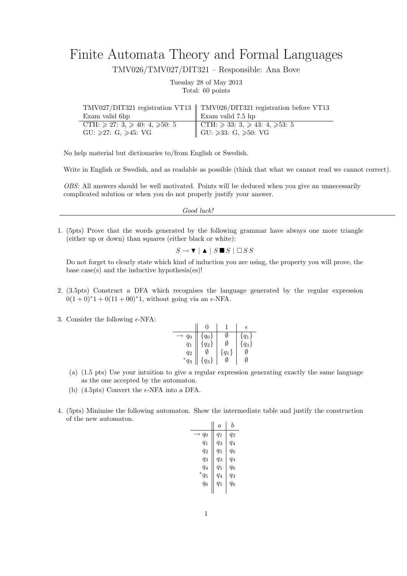## Finite Automata Theory and Formal Languages

TMV026/TMV027/DIT321 – Responsible: Ana Bove

Tuesday 28 of May 2013 Total: 60 points

|                                                  | TMV027/DIT321 registration VT13    TMV026/DIT321 registration before VT13 |
|--------------------------------------------------|---------------------------------------------------------------------------|
| Exam valid 6hp                                   | Exam valid 7.5 hp                                                         |
| CTH: $\geq 27$ : 3, $\geq 40$ : 4, $\geq 50$ : 5 | CTH: ≥ 33: 3, ≥ 43: 4, ≥53: 5<br>GU: ≥33: G, ≥50: VG                      |
| $GU: \geqslant 27: G, \geqslant 45: VG$          |                                                                           |

No help material but dictionaries to/from English or Swedish.

Write in English or Swedish, and as readable as possible (think that what we cannot read we cannot correct).

*OBS:* All answers should be well motivated. Points will be deduced when you give an unnecessarily complicated solution or when you do not properly justify your answer.

*Good luck!*

1. (5pts) Prove that the words generated by the following grammar have always one more triangle (either up or down) than squares (either black or white):

 $S \rightarrow \mathbf{V} \mid \mathbf{A} \mid S \mathbf{I} \mathbf{S} \mid \Box S S$ 

Do not forget to clearly state which kind of induction you are using, the property you will prove, the base case(s) and the inductive hypothesis(es)!

- 2. (3.5pts) Construct a DFA which recognises the language generated by the regular expression  $0(1+0)*1+0(11+00)*1$ , without going via an  $\epsilon$ -NFA.
- 3. Consider the following  $\epsilon$ -NFA:

|                 |           |           | $\epsilon$ |
|-----------------|-----------|-----------|------------|
| $q_0$           | $q_0\}$   |           | $q_1\}$    |
| $q_1$           | $\{q_2\}$ | N         | $\{q_3\}$  |
| $q_2$           |           | $\{q_1\}$ |            |
| $\ast$<br>$q_3$ | $\{q_3\}$ |           |            |

- (a) (1.5 pts) Use your intuition to give a regular expression generating exactly the same language as the one accepted by the automaton.
- (b) (4.5pts) Convert the  $\epsilon$ -NFA into a DFA.
- 4. (5pts) Minimise the following automaton. Show the intermediate table and justify the construction of the new automaton.

|            | a       | h     |
|------------|---------|-------|
| $q_0$<br>→ | $q_1$   | $q_2$ |
| $q_1$      | $q_3$   | $q_4$ |
| $q_2$      | $q_5$   | q6    |
| $q_3$      | $q_3$   | $q_4$ |
| $q_4$      | $q_5$   | q6    |
| ${}^*q_5$  | $q_{4}$ | q3    |
| q6         | $q_5$   | q6    |
|            |         |       |